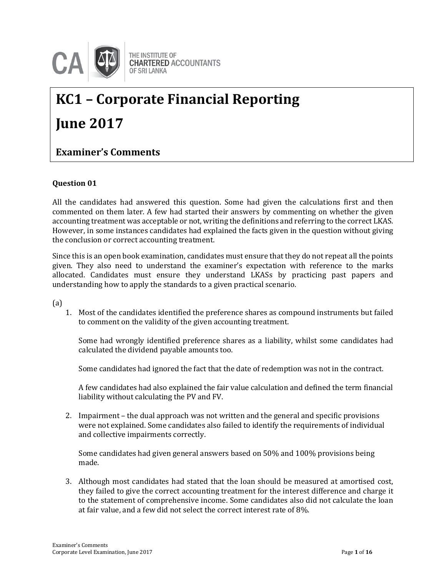

# **KC1 – Corporate Financial Reporting June 2017**

### **Examiner's Comments**

#### **Question 01**

All the candidates had answered this question. Some had given the calculations first and then commented on them later. A few had started their answers by commenting on whether the given accounting treatment was acceptable or not, writing the definitions and referring to the correct LKAS. However, in some instances candidates had explained the facts given in the question without giving the conclusion or correct accounting treatment.

Since this is an open book examination, candidates must ensure that they do not repeat all the points given. They also need to understand the examiner's expectation with reference to the marks allocated. Candidates must ensure they understand LKASs by practicing past papers and understanding how to apply the standards to a given practical scenario.

(a)

1. Most of the candidates identified the preference shares as compound instruments but failed to comment on the validity of the given accounting treatment.

Some had wrongly identified preference shares as a liability, whilst some candidates had calculated the dividend payable amounts too.

Some candidates had ignored the fact that the date of redemption was not in the contract.

A few candidates had also explained the fair value calculation and defined the term financial liability without calculating the PV and FV.

2. Impairment – the dual approach was not written and the general and specific provisions were not explained. Some candidates also failed to identify the requirements of individual and collective impairments correctly.

Some candidates had given general answers based on 50% and 100% provisions being made.

3. Although most candidates had stated that the loan should be measured at amortised cost, they failed to give the correct accounting treatment for the interest difference and charge it to the statement of comprehensive income. Some candidates also did not calculate the loan at fair value, and a few did not select the correct interest rate of 8%.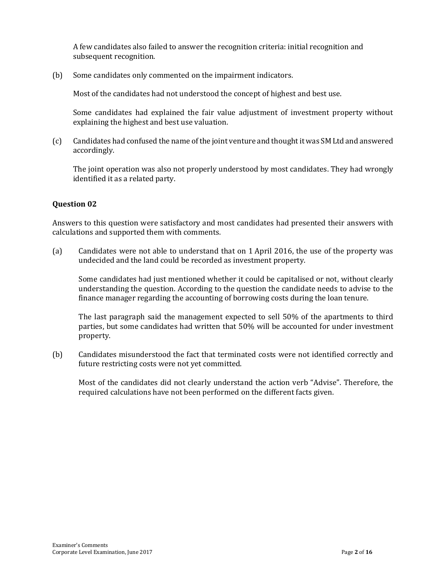A few candidates also failed to answer the recognition criteria: initial recognition and subsequent recognition.

(b) Some candidates only commented on the impairment indicators.

Most of the candidates had not understood the concept of highest and best use.

Some candidates had explained the fair value adjustment of investment property without explaining the highest and best use valuation.

(c) Candidates had confused the name of the joint venture and thought it was SM Ltd and answered accordingly.

The joint operation was also not properly understood by most candidates. They had wrongly identified it as a related party.

#### **Question 02**

Answers to this question were satisfactory and most candidates had presented their answers with calculations and supported them with comments.

(a) Candidates were not able to understand that on 1 April 2016, the use of the property was undecided and the land could be recorded as investment property.

Some candidates had just mentioned whether it could be capitalised or not, without clearly understanding the question. According to the question the candidate needs to advise to the finance manager regarding the accounting of borrowing costs during the loan tenure.

The last paragraph said the management expected to sell 50% of the apartments to third parties, but some candidates had written that 50% will be accounted for under investment property.

(b) Candidates misunderstood the fact that terminated costs were not identified correctly and future restricting costs were not yet committed.

Most of the candidates did not clearly understand the action verb "Advise". Therefore, the required calculations have not been performed on the different facts given.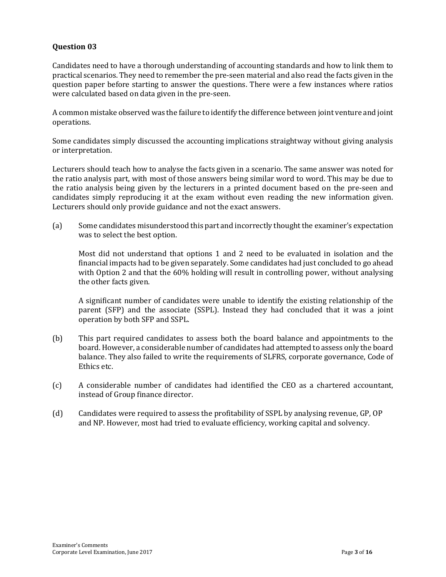Candidates need to have a thorough understanding of accounting standards and how to link them to practical scenarios. They need to remember the pre-seen material and also read the facts given in the question paper before starting to answer the questions. There were a few instances where ratios were calculated based on data given in the pre-seen.

A common mistake observed was the failure to identify the difference between joint venture and joint operations.

Some candidates simply discussed the accounting implications straightway without giving analysis or interpretation.

Lecturers should teach how to analyse the facts given in a scenario. The same answer was noted for the ratio analysis part, with most of those answers being similar word to word. This may be due to the ratio analysis being given by the lecturers in a printed document based on the pre-seen and candidates simply reproducing it at the exam without even reading the new information given. Lecturers should only provide guidance and not the exact answers.

(a) Some candidates misunderstood this part and incorrectly thought the examiner's expectation was to select the best option.

Most did not understand that options 1 and 2 need to be evaluated in isolation and the financial impacts had to be given separately. Some candidates had just concluded to go ahead with Option 2 and that the 60% holding will result in controlling power, without analysing the other facts given.

A significant number of candidates were unable to identify the existing relationship of the parent (SFP) and the associate (SSPL). Instead they had concluded that it was a joint operation by both SFP and SSPL.

- (b) This part required candidates to assess both the board balance and appointments to the board. However, a considerable number of candidates had attempted to assess only the board balance. They also failed to write the requirements of SLFRS, corporate governance, Code of Ethics etc.
- (c) A considerable number of candidates had identified the CEO as a chartered accountant, instead of Group finance director.
- (d) Candidates were required to assess the profitability of SSPL by analysing revenue, GP, OP and NP. However, most had tried to evaluate efficiency, working capital and solvency.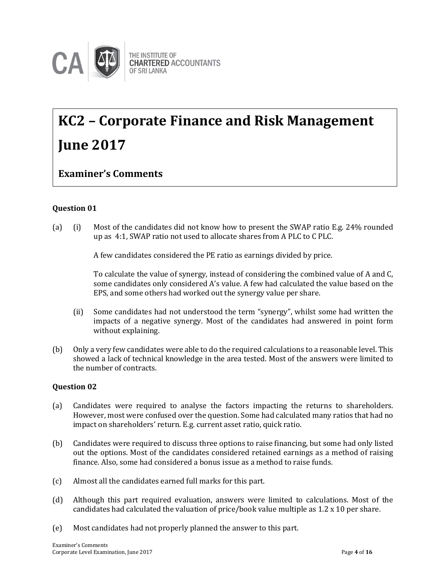

## **KC2 – Corporate Finance and Risk Management June 2017**

### **Examiner's Comments**

#### **Question 01**

(a) (i) Most of the candidates did not know how to present the SWAP ratio E.g. 24% rounded up as 4:1, SWAP ratio not used to allocate shares from A PLC to C PLC.

A few candidates considered the PE ratio as earnings divided by price.

To calculate the value of synergy, instead of considering the combined value of A and C, some candidates only considered A's value. A few had calculated the value based on the EPS, and some others had worked out the synergy value per share.

- (ii) Some candidates had not understood the term "synergy", whilst some had written the impacts of a negative synergy. Most of the candidates had answered in point form without explaining.
- (b) Only a very few candidates were able to do the required calculations to a reasonable level. This showed a lack of technical knowledge in the area tested. Most of the answers were limited to the number of contracts.

#### **Question 02**

- (a) Candidates were required to analyse the factors impacting the returns to shareholders. However, most were confused over the question. Some had calculated many ratios that had no impact on shareholders' return. E.g. current asset ratio, quick ratio.
- (b) Candidates were required to discuss three options to raise financing, but some had only listed out the options. Most of the candidates considered retained earnings as a method of raising finance. Also, some had considered a bonus issue as a method to raise funds.
- (c) Almost all the candidates earned full marks for this part.
- (d) Although this part required evaluation, answers were limited to calculations. Most of the candidates had calculated the valuation of price/book value multiple as 1.2 x 10 per share.
- (e) Most candidates had not properly planned the answer to this part.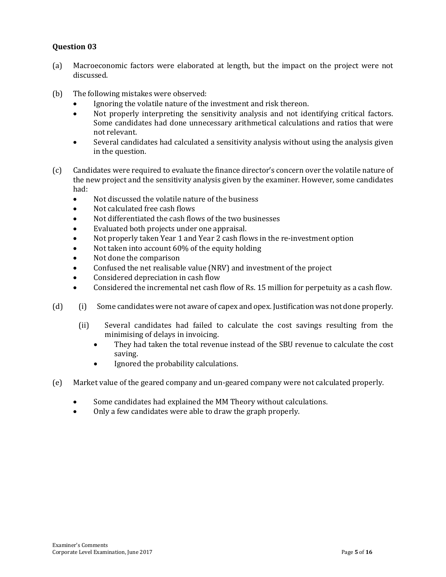- (a) Macroeconomic factors were elaborated at length, but the impact on the project were not discussed.
- (b) The following mistakes were observed:
	- Ignoring the volatile nature of the investment and risk thereon.
	- Not properly interpreting the sensitivity analysis and not identifying critical factors. Some candidates had done unnecessary arithmetical calculations and ratios that were not relevant.
	- Several candidates had calculated a sensitivity analysis without using the analysis given in the question.
- (c) Candidates were required to evaluate the finance director's concern over the volatile nature of the new project and the sensitivity analysis given by the examiner. However, some candidates had:
	- Not discussed the volatile nature of the business
	- Not calculated free cash flows
	- Not differentiated the cash flows of the two businesses
	- Evaluated both projects under one appraisal.
	- Not properly taken Year 1 and Year 2 cash flows in the re-investment option
	- Not taken into account 60% of the equity holding
	- Not done the comparison
	- Confused the net realisable value (NRV) and investment of the project
	- Considered depreciation in cash flow
	- Considered the incremental net cash flow of Rs. 15 million for perpetuity as a cash flow.
- (d) (i) Some candidates were not aware of capex and opex. Justification was not done properly.
	- (ii) Several candidates had failed to calculate the cost savings resulting from the minimising of delays in invoicing.
		- They had taken the total revenue instead of the SBU revenue to calculate the cost saving.
		- Ignored the probability calculations.
- (e) Market value of the geared company and un-geared company were not calculated properly.
	- Some candidates had explained the MM Theory without calculations.
	- Only a few candidates were able to draw the graph properly.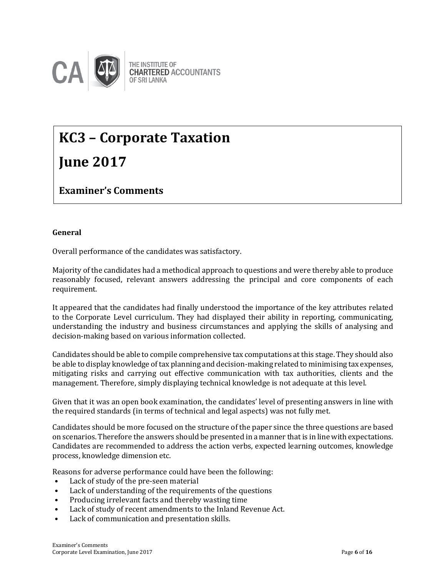

## **KC3 – Corporate Taxation June 2017**

**Examiner's Comments**

#### **General**

Overall performance of the candidates was satisfactory.

Majority of the candidates had a methodical approach to questions and were thereby able to produce reasonably focused, relevant answers addressing the principal and core components of each requirement.

It appeared that the candidates had finally understood the importance of the key attributes related to the Corporate Level curriculum. They had displayed their ability in reporting, communicating, understanding the industry and business circumstances and applying the skills of analysing and decision-making based on various information collected.

Candidates should be able to compile comprehensive tax computations at this stage. They should also be able to display knowledge of tax planning and decision-making related to minimising tax expenses, mitigating risks and carrying out effective communication with tax authorities, clients and the management. Therefore, simply displaying technical knowledge is not adequate at this level.

Given that it was an open book examination, the candidates' level of presenting answers in line with the required standards (in terms of technical and legal aspects) was not fully met.

Candidates should be more focused on the structure of the paper since the three questions are based on scenarios. Therefore the answers should be presented in a manner that is in line with expectations. Candidates are recommended to address the action verbs, expected learning outcomes, knowledge process, knowledge dimension etc.

Reasons for adverse performance could have been the following:

- Lack of study of the pre-seen material
- Lack of understanding of the requirements of the questions
- Producing irrelevant facts and thereby wasting time
- Lack of study of recent amendments to the Inland Revenue Act.
- Lack of communication and presentation skills.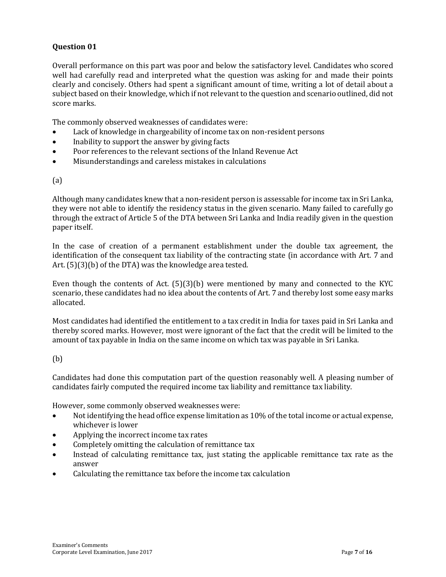Overall performance on this part was poor and below the satisfactory level. Candidates who scored well had carefully read and interpreted what the question was asking for and made their points clearly and concisely. Others had spent a significant amount of time, writing a lot of detail about a subject based on their knowledge, which if not relevant to the question and scenario outlined, did not score marks.

The commonly observed weaknesses of candidates were:

- Lack of knowledge in chargeability of income tax on non-resident persons
- Inability to support the answer by giving facts
- Poor references to the relevant sections of the Inland Revenue Act
- Misunderstandings and careless mistakes in calculations

#### (a)

Although many candidates knew that a non-resident person is assessable for income tax in Sri Lanka, they were not able to identify the residency status in the given scenario. Many failed to carefully go through the extract of Article 5 of the DTA between Sri Lanka and India readily given in the question paper itself.

In the case of creation of a permanent establishment under the double tax agreement, the identification of the consequent tax liability of the contracting state (in accordance with Art. 7 and Art. (5)(3)(b) of the DTA) was the knowledge area tested.

Even though the contents of Act.  $(5)(3)(b)$  were mentioned by many and connected to the KYC scenario, these candidates had no idea about the contents of Art. 7 and thereby lost some easy marks allocated.

Most candidates had identified the entitlement to a tax credit in India for taxes paid in Sri Lanka and thereby scored marks. However, most were ignorant of the fact that the credit will be limited to the amount of tax payable in India on the same income on which tax was payable in Sri Lanka.

#### (b)

Candidates had done this computation part of the question reasonably well. A pleasing number of candidates fairly computed the required income tax liability and remittance tax liability.

However, some commonly observed weaknesses were:

- Not identifying the head office expense limitation as 10% of the total income or actual expense, whichever is lower
- Applying the incorrect income tax rates
- Completely omitting the calculation of remittance tax
- Instead of calculating remittance tax, just stating the applicable remittance tax rate as the answer
- Calculating the remittance tax before the income tax calculation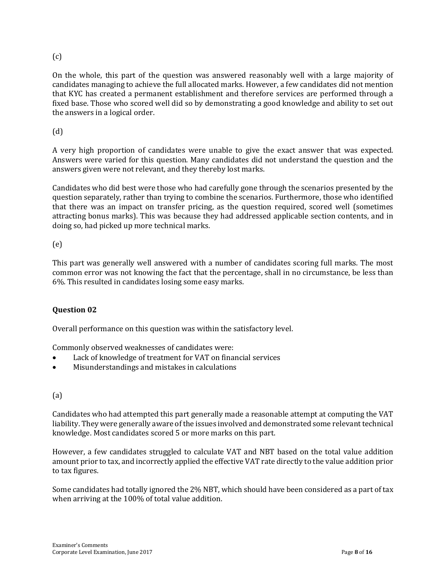#### (c)

On the whole, this part of the question was answered reasonably well with a large majority of candidates managing to achieve the full allocated marks. However, a few candidates did not mention that KYC has created a permanent establishment and therefore services are performed through a fixed base. Those who scored well did so by demonstrating a good knowledge and ability to set out the answers in a logical order.

(d)

A very high proportion of candidates were unable to give the exact answer that was expected. Answers were varied for this question. Many candidates did not understand the question and the answers given were not relevant, and they thereby lost marks.

Candidates who did best were those who had carefully gone through the scenarios presented by the question separately, rather than trying to combine the scenarios. Furthermore, those who identified that there was an impact on transfer pricing, as the question required, scored well (sometimes attracting bonus marks). This was because they had addressed applicable section contents, and in doing so, had picked up more technical marks.

#### (e)

This part was generally well answered with a number of candidates scoring full marks. The most common error was not knowing the fact that the percentage, shall in no circumstance, be less than 6%. This resulted in candidates losing some easy marks.

#### **Question 02**

Overall performance on this question was within the satisfactory level.

Commonly observed weaknesses of candidates were:

- Lack of knowledge of treatment for VAT on financial services
- Misunderstandings and mistakes in calculations

#### (a)

Candidates who had attempted this part generally made a reasonable attempt at computing the VAT liability. They were generally aware of the issues involved and demonstrated some relevant technical knowledge. Most candidates scored 5 or more marks on this part.

However, a few candidates struggled to calculate VAT and NBT based on the total value addition amount prior to tax, and incorrectly applied the effective VAT rate directly to the value addition prior to tax figures.

Some candidates had totally ignored the 2% NBT, which should have been considered as a part of tax when arriving at the 100% of total value addition.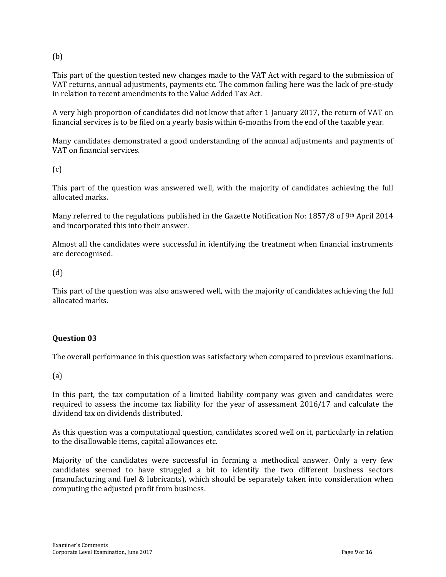(b)

This part of the question tested new changes made to the VAT Act with regard to the submission of VAT returns, annual adjustments, payments etc. The common failing here was the lack of pre-study in relation to recent amendments to the Value Added Tax Act.

A very high proportion of candidates did not know that after 1 January 2017, the return of VAT on financial services is to be filed on a yearly basis within 6-months from the end of the taxable year.

Many candidates demonstrated a good understanding of the annual adjustments and payments of VAT on financial services.

 $(c)$ 

This part of the question was answered well, with the majority of candidates achieving the full allocated marks.

Many referred to the regulations published in the Gazette Notification No: 1857/8 of 9th April 2014 and incorporated this into their answer.

Almost all the candidates were successful in identifying the treatment when financial instruments are derecognised.

(d)

This part of the question was also answered well, with the majority of candidates achieving the full allocated marks.

#### **Question 03**

The overall performance in this question was satisfactory when compared to previous examinations.

(a)

In this part, the tax computation of a limited liability company was given and candidates were required to assess the income tax liability for the year of assessment 2016/17 and calculate the dividend tax on dividends distributed.

As this question was a computational question, candidates scored well on it, particularly in relation to the disallowable items, capital allowances etc.

Majority of the candidates were successful in forming a methodical answer. Only a very few candidates seemed to have struggled a bit to identify the two different business sectors (manufacturing and fuel & lubricants), which should be separately taken into consideration when computing the adjusted profit from business.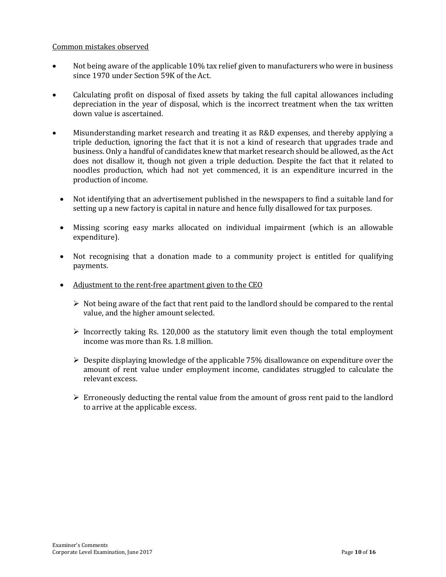#### Common mistakes observed

- Not being aware of the applicable 10% tax relief given to manufacturers who were in business since 1970 under Section 59K of the Act.
- Calculating profit on disposal of fixed assets by taking the full capital allowances including depreciation in the year of disposal, which is the incorrect treatment when the tax written down value is ascertained.
- Misunderstanding market research and treating it as R&D expenses, and thereby applying a triple deduction, ignoring the fact that it is not a kind of research that upgrades trade and business. Only a handful of candidates knew that market research should be allowed, as the Act does not disallow it, though not given a triple deduction. Despite the fact that it related to noodles production, which had not yet commenced, it is an expenditure incurred in the production of income.
	- Not identifying that an advertisement published in the newspapers to find a suitable land for setting up a new factory is capital in nature and hence fully disallowed for tax purposes.
	- Missing scoring easy marks allocated on individual impairment (which is an allowable expenditure).
	- Not recognising that a donation made to a community project is entitled for qualifying payments.
	- Adjustment to the rent-free apartment given to the CEO
		- $\triangleright$  Not being aware of the fact that rent paid to the landlord should be compared to the rental value, and the higher amount selected.
		- $\triangleright$  Incorrectly taking Rs. 120,000 as the statutory limit even though the total employment income was more than Rs. 1.8 million.
		- $\triangleright$  Despite displaying knowledge of the applicable 75% disallowance on expenditure over the amount of rent value under employment income, candidates struggled to calculate the relevant excess.
		- $\triangleright$  Erroneously deducting the rental value from the amount of gross rent paid to the landlord to arrive at the applicable excess.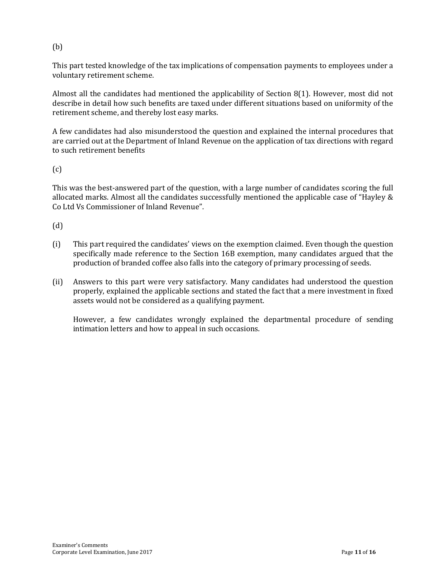#### (b)

This part tested knowledge of the tax implications of compensation payments to employees under a voluntary retirement scheme.

Almost all the candidates had mentioned the applicability of Section 8(1). However, most did not describe in detail how such benefits are taxed under different situations based on uniformity of the retirement scheme, and thereby lost easy marks.

A few candidates had also misunderstood the question and explained the internal procedures that are carried out at the Department of Inland Revenue on the application of tax directions with regard to such retirement benefits

#### $(c)$

This was the best-answered part of the question, with a large number of candidates scoring the full allocated marks. Almost all the candidates successfully mentioned the applicable case of "Hayley & Co Ltd Vs Commissioner of Inland Revenue".

(d)

- (i) This part required the candidates' views on the exemption claimed. Even though the question specifically made reference to the Section 16B exemption, many candidates argued that the production of branded coffee also falls into the category of primary processing of seeds.
- (ii) Answers to this part were very satisfactory. Many candidates had understood the question properly, explained the applicable sections and stated the fact that a mere investment in fixed assets would not be considered as a qualifying payment.

However, a few candidates wrongly explained the departmental procedure of sending intimation letters and how to appeal in such occasions.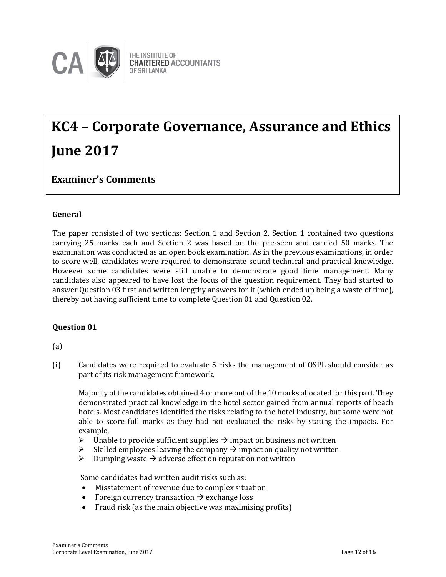

## **KC4 – Corporate Governance, Assurance and Ethics June 2017**

### **Examiner's Comments**

#### **General**

The paper consisted of two sections: Section 1 and Section 2. Section 1 contained two questions carrying 25 marks each and Section 2 was based on the pre-seen and carried 50 marks. The examination was conducted as an open book examination. As in the previous examinations, in order to score well, candidates were required to demonstrate sound technical and practical knowledge. However some candidates were still unable to demonstrate good time management. Many candidates also appeared to have lost the focus of the question requirement. They had started to answer Question 03 first and written lengthy answers for it (which ended up being a waste of time), thereby not having sufficient time to complete Question 01 and Question 02.

#### **Question 01**

(a)

(i) Candidates were required to evaluate 5 risks the management of OSPL should consider as part of its risk management framework.

Majority of the candidates obtained 4 or more out ofthe 10 marks allocated for this part. They demonstrated practical knowledge in the hotel sector gained from annual reports of beach hotels. Most candidates identified the risks relating to the hotel industry, but some were not able to score full marks as they had not evaluated the risks by stating the impacts. For example,

- $\triangleright$  Unable to provide sufficient supplies  $\rightarrow$  impact on business not written
- $\triangleright$  Skilled employees leaving the company  $\rightarrow$  impact on quality not written
- $\triangleright$  Dumping waste  $\rightarrow$  adverse effect on reputation not written

Some candidates had written audit risks such as:

- Misstatement of revenue due to complex situation
- Foreign currency transaction  $\rightarrow$  exchange loss
- Fraud risk (as the main objective was maximising profits)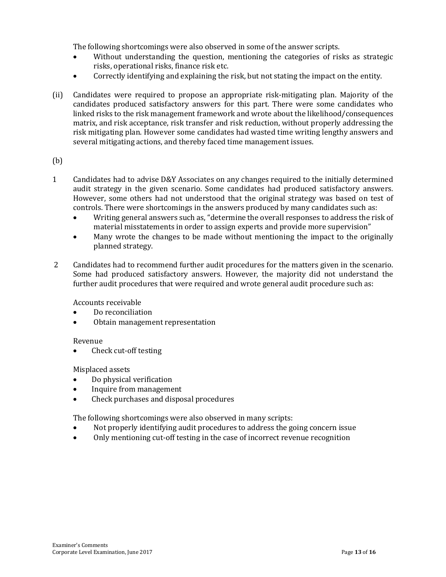The following shortcomings were also observed in some of the answer scripts.

- Without understanding the question, mentioning the categories of risks as strategic risks, operational risks, finance risk etc.
- Correctly identifying and explaining the risk, but not stating the impact on the entity.
- (ii) Candidates were required to propose an appropriate risk-mitigating plan. Majority of the candidates produced satisfactory answers for this part. There were some candidates who linked risks to the risk management framework and wrote about the likelihood/consequences matrix, and risk acceptance, risk transfer and risk reduction, without properly addressing the risk mitigating plan. However some candidates had wasted time writing lengthy answers and several mitigating actions, and thereby faced time management issues.

#### (b)

- 1 Candidates had to advise D&Y Associates on any changes required to the initially determined audit strategy in the given scenario. Some candidates had produced satisfactory answers. However, some others had not understood that the original strategy was based on test of controls. There were shortcomings in the answers produced by many candidates such as:
	- Writing general answers such as, "determine the overall responses to address the risk of material misstatements in order to assign experts and provide more supervision"
	- Many wrote the changes to be made without mentioning the impact to the originally planned strategy.
- 2 Candidates had to recommend further audit procedures for the matters given in the scenario. Some had produced satisfactory answers. However, the majority did not understand the further audit procedures that were required and wrote general audit procedure such as:

Accounts receivable

- Do reconciliation
- Obtain management representation

#### Revenue

Check cut-off testing

Misplaced assets

- Do physical verification
- Inquire from management
- Check purchases and disposal procedures

The following shortcomings were also observed in many scripts:

- Not properly identifying audit procedures to address the going concern issue
- Only mentioning cut-off testing in the case of incorrect revenue recognition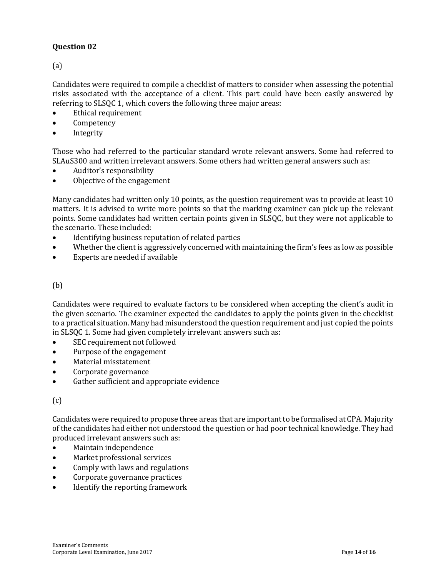(a)

Candidates were required to compile a checklist of matters to consider when assessing the potential risks associated with the acceptance of a client. This part could have been easily answered by referring to SLSQC 1, which covers the following three major areas:

- Ethical requirement
- Competency
- Integrity

Those who had referred to the particular standard wrote relevant answers. Some had referred to SLAuS300 and written irrelevant answers. Some others had written general answers such as:

- Auditor's responsibility
- Objective of the engagement

Many candidates had written only 10 points, as the question requirement was to provide at least 10 matters. It is advised to write more points so that the marking examiner can pick up the relevant points. Some candidates had written certain points given in SLSQC, but they were not applicable to the scenario. These included:

- Identifying business reputation of related parties
- Whether the client is aggressively concerned with maintaining the firm's fees as low as possible
- Experts are needed if available

#### (b)

Candidates were required to evaluate factors to be considered when accepting the client's audit in the given scenario. The examiner expected the candidates to apply the points given in the checklist to a practical situation. Many had misunderstood the question requirement and just copied the points in SLSQC 1. Some had given completely irrelevant answers such as:

- SEC requirement not followed
- Purpose of the engagement
- Material misstatement
- Corporate governance
- Gather sufficient and appropriate evidence

#### (c)

Candidates were required to propose three areas that are important to be formalised at CPA. Majority of the candidates had either not understood the question or had poor technical knowledge. They had produced irrelevant answers such as:

- Maintain independence
- Market professional services
- Comply with laws and regulations
- Corporate governance practices
- Identify the reporting framework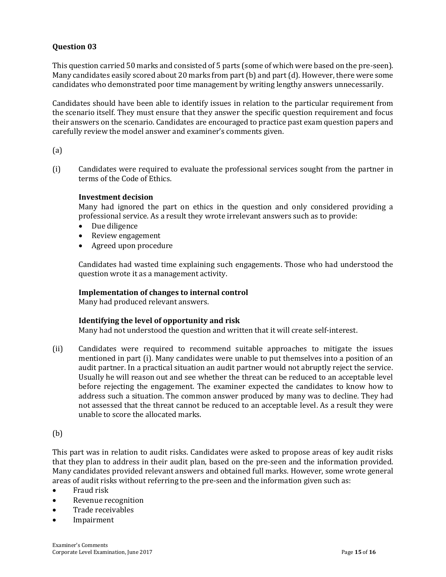This question carried 50 marks and consisted of 5 parts (some of which were based on the pre-seen). Many candidates easily scored about 20 marks from part (b) and part (d). However, there were some candidates who demonstrated poor time management by writing lengthy answers unnecessarily.

Candidates should have been able to identify issues in relation to the particular requirement from the scenario itself. They must ensure that they answer the specific question requirement and focus their answers on the scenario. Candidates are encouraged to practice past exam question papers and carefully review the model answer and examiner's comments given.

(a)

(i) Candidates were required to evaluate the professional services sought from the partner in terms of the Code of Ethics.

#### **Investment decision**

Many had ignored the part on ethics in the question and only considered providing a professional service. As a result they wrote irrelevant answers such as to provide:

- Due diligence
- Review engagement
- Agreed upon procedure

Candidates had wasted time explaining such engagements. Those who had understood the question wrote it as a management activity.

#### **Implementation of changes to internal control**

Many had produced relevant answers.

#### **Identifying the level of opportunity and risk**

Many had not understood the question and written that it will create self-interest.

(ii) Candidates were required to recommend suitable approaches to mitigate the issues mentioned in part (i). Many candidates were unable to put themselves into a position of an audit partner. In a practical situation an audit partner would not abruptly reject the service. Usually he will reason out and see whether the threat can be reduced to an acceptable level before rejecting the engagement. The examiner expected the candidates to know how to address such a situation. The common answer produced by many was to decline. They had not assessed that the threat cannot be reduced to an acceptable level. As a result they were unable to score the allocated marks.

(b)

This part was in relation to audit risks. Candidates were asked to propose areas of key audit risks that they plan to address in their audit plan, based on the pre-seen and the information provided. Many candidates provided relevant answers and obtained full marks. However, some wrote general areas of audit risks without referring to the pre-seen and the information given such as:

- Fraud risk
- Revenue recognition
- Trade receivables
- Impairment